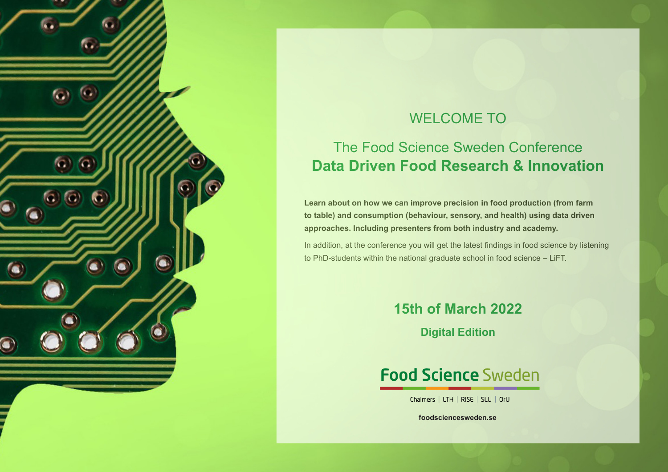

# WELCOME TO

# The Food Science Sweden Conference **Data Driven Food Research & Innovation**

**Learn about on how we can improve precision in food production (from farm to table) and consumption (behaviour, sensory, and health) using data driven approaches. Including presenters from both industry and academy.** 

In addition, at the conference you will get the latest findings in food science by listening to PhD-students within the national graduate school in food science – LiFT.

# **15th of March 2022**

**Digital Edition**

# **Food Science Sweden**

Chalmers | LTH | RISE | SLU | OrU

**foodsciencesweden.se**